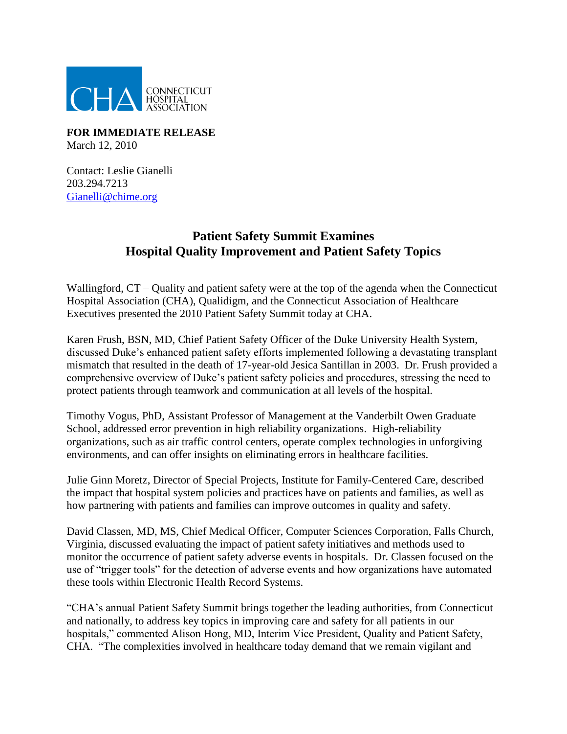

**FOR IMMEDIATE RELEASE**  March 12, 2010

Contact: Leslie Gianelli 203.294.7213 [Gianelli@chime.org](mailto:Gianelli@chime.org)

## **Patient Safety Summit Examines Hospital Quality Improvement and Patient Safety Topics**

Wallingford,  $CT -$  Quality and patient safety were at the top of the agenda when the Connecticut Hospital Association (CHA), Qualidigm, and the Connecticut Association of Healthcare Executives presented the 2010 Patient Safety Summit today at CHA.

Karen Frush, BSN, MD, Chief Patient Safety Officer of the Duke University Health System, discussed Duke's enhanced patient safety efforts implemented following a devastating transplant mismatch that resulted in the death of 17-year-old Jesica Santillan in 2003. Dr. Frush provided a comprehensive overview of Duke's patient safety policies and procedures, stressing the need to protect patients through teamwork and communication at all levels of the hospital.

Timothy Vogus, PhD, Assistant Professor of Management at the Vanderbilt Owen Graduate School, addressed error prevention in high reliability organizations. High-reliability organizations, such as air traffic control centers, operate complex technologies in unforgiving environments, and can offer insights on eliminating errors in healthcare facilities.

Julie Ginn Moretz, Director of Special Projects, Institute for Family-Centered Care, described the impact that hospital system policies and practices have on patients and families, as well as how partnering with patients and families can improve outcomes in quality and safety.

David Classen, MD, MS, Chief Medical Officer, Computer Sciences Corporation, Falls Church, Virginia, discussed evaluating the impact of patient safety initiatives and methods used to monitor the occurrence of patient safety adverse events in hospitals. Dr. Classen focused on the use of "trigger tools" for the detection of adverse events and how organizations have automated these tools within Electronic Health Record Systems.

"CHA's annual Patient Safety Summit brings together the leading authorities, from Connecticut and nationally, to address key topics in improving care and safety for all patients in our hospitals," commented Alison Hong, MD, Interim Vice President, Quality and Patient Safety, CHA. "The complexities involved in healthcare today demand that we remain vigilant and